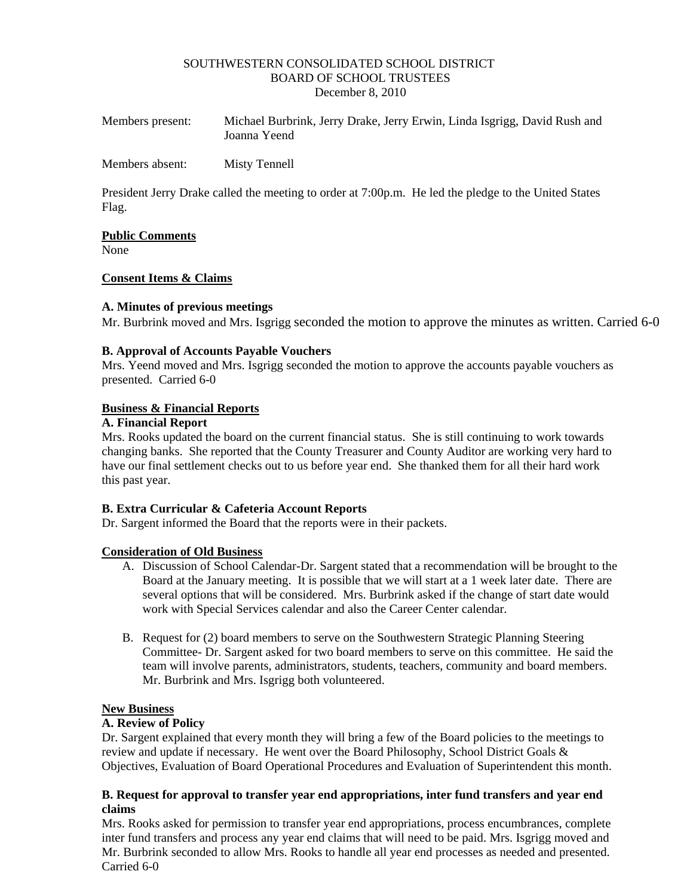#### SOUTHWESTERN CONSOLIDATED SCHOOL DISTRICT BOARD OF SCHOOL TRUSTEES December 8, 2010

| Members present: | Michael Burbrink, Jerry Drake, Jerry Erwin, Linda Isgrigg, David Rush and<br>Joanna Yeend |
|------------------|-------------------------------------------------------------------------------------------|
| Members absent:  | Misty Tennell                                                                             |

President Jerry Drake called the meeting to order at 7:00p.m. He led the pledge to the United States Flag.

### **Public Comments**

None

## **Consent Items & Claims**

## **A. Minutes of previous meetings**

Mr. Burbrink moved and Mrs. Isgrigg seconded the motion to approve the minutes as written. Carried 6-0

## **B. Approval of Accounts Payable Vouchers**

Mrs. Yeend moved and Mrs. Isgrigg seconded the motion to approve the accounts payable vouchers as presented. Carried 6-0

### **Business & Financial Reports**

## **A. Financial Report**

Mrs. Rooks updated the board on the current financial status. She is still continuing to work towards changing banks. She reported that the County Treasurer and County Auditor are working very hard to have our final settlement checks out to us before year end. She thanked them for all their hard work this past year.

### **B. Extra Curricular & Cafeteria Account Reports**

Dr. Sargent informed the Board that the reports were in their packets.

### **Consideration of Old Business**

- A. Discussion of School Calendar-Dr. Sargent stated that a recommendation will be brought to the Board at the January meeting. It is possible that we will start at a 1 week later date. There are several options that will be considered. Mrs. Burbrink asked if the change of start date would work with Special Services calendar and also the Career Center calendar.
- B. Request for (2) board members to serve on the Southwestern Strategic Planning Steering Committee- Dr. Sargent asked for two board members to serve on this committee. He said the team will involve parents, administrators, students, teachers, community and board members. Mr. Burbrink and Mrs. Isgrigg both volunteered.

# **New Business**

## **A. Review of Policy**

Dr. Sargent explained that every month they will bring a few of the Board policies to the meetings to review and update if necessary. He went over the Board Philosophy, School District Goals & Objectives, Evaluation of Board Operational Procedures and Evaluation of Superintendent this month.

### **B. Request for approval to transfer year end appropriations, inter fund transfers and year end claims**

Mrs. Rooks asked for permission to transfer year end appropriations, process encumbrances, complete inter fund transfers and process any year end claims that will need to be paid. Mrs. Isgrigg moved and Mr. Burbrink seconded to allow Mrs. Rooks to handle all year end processes as needed and presented. Carried 6-0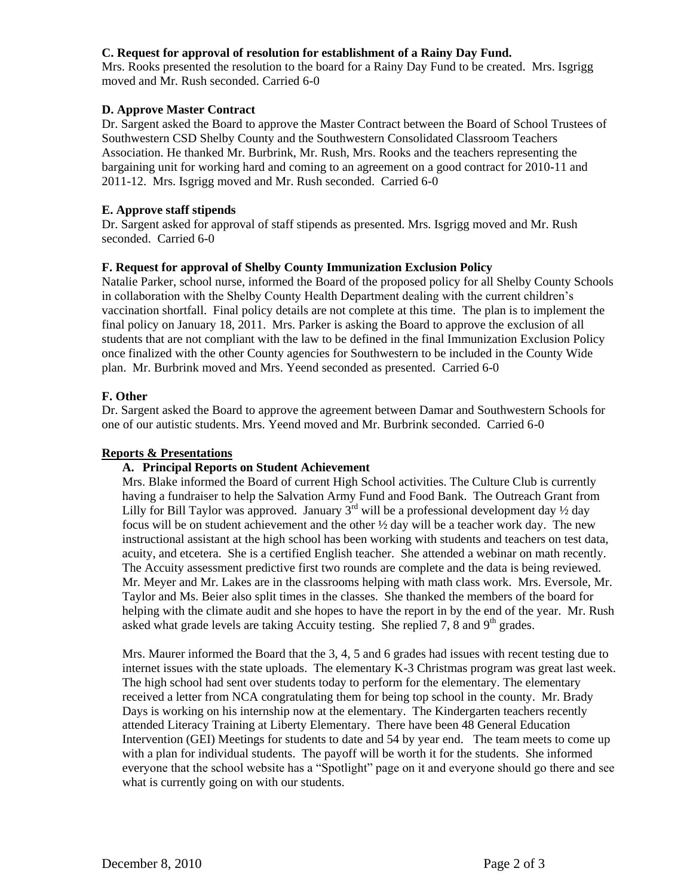# **C. Request for approval of resolution for establishment of a Rainy Day Fund.**

Mrs. Rooks presented the resolution to the board for a Rainy Day Fund to be created. Mrs. Isgrigg moved and Mr. Rush seconded. Carried 6-0

### **D. Approve Master Contract**

Dr. Sargent asked the Board to approve the Master Contract between the Board of School Trustees of Southwestern CSD Shelby County and the Southwestern Consolidated Classroom Teachers Association. He thanked Mr. Burbrink, Mr. Rush, Mrs. Rooks and the teachers representing the bargaining unit for working hard and coming to an agreement on a good contract for 2010-11 and 2011-12. Mrs. Isgrigg moved and Mr. Rush seconded. Carried 6-0

### **E. Approve staff stipends**

Dr. Sargent asked for approval of staff stipends as presented. Mrs. Isgrigg moved and Mr. Rush seconded. Carried 6-0

### **F. Request for approval of Shelby County Immunization Exclusion Policy**

Natalie Parker, school nurse, informed the Board of the proposed policy for all Shelby County Schools in collaboration with the Shelby County Health Department dealing with the current children's vaccination shortfall. Final policy details are not complete at this time. The plan is to implement the final policy on January 18, 2011. Mrs. Parker is asking the Board to approve the exclusion of all students that are not compliant with the law to be defined in the final Immunization Exclusion Policy once finalized with the other County agencies for Southwestern to be included in the County Wide plan. Mr. Burbrink moved and Mrs. Yeend seconded as presented. Carried 6-0

### **F. Other**

Dr. Sargent asked the Board to approve the agreement between Damar and Southwestern Schools for one of our autistic students. Mrs. Yeend moved and Mr. Burbrink seconded. Carried 6-0

#### **Reports & Presentations**

### **A. Principal Reports on Student Achievement**

Mrs. Blake informed the Board of current High School activities. The Culture Club is currently having a fundraiser to help the Salvation Army Fund and Food Bank. The Outreach Grant from Lilly for Bill Taylor was approved. January  $3^{rd}$  will be a professional development day  $\frac{1}{2}$  day focus will be on student achievement and the other  $\frac{1}{2}$  day will be a teacher work day. The new instructional assistant at the high school has been working with students and teachers on test data, acuity, and etcetera. She is a certified English teacher. She attended a webinar on math recently. The Accuity assessment predictive first two rounds are complete and the data is being reviewed. Mr. Meyer and Mr. Lakes are in the classrooms helping with math class work. Mrs. Eversole, Mr. Taylor and Ms. Beier also split times in the classes. She thanked the members of the board for helping with the climate audit and she hopes to have the report in by the end of the year. Mr. Rush asked what grade levels are taking Accuity testing. She replied 7, 8 and  $9<sup>th</sup>$  grades.

Mrs. Maurer informed the Board that the 3, 4, 5 and 6 grades had issues with recent testing due to internet issues with the state uploads. The elementary K-3 Christmas program was great last week. The high school had sent over students today to perform for the elementary. The elementary received a letter from NCA congratulating them for being top school in the county. Mr. Brady Days is working on his internship now at the elementary. The Kindergarten teachers recently attended Literacy Training at Liberty Elementary. There have been 48 General Education Intervention (GEI) Meetings for students to date and 54 by year end. The team meets to come up with a plan for individual students. The payoff will be worth it for the students. She informed everyone that the school website has a "Spotlight" page on it and everyone should go there and see what is currently going on with our students.